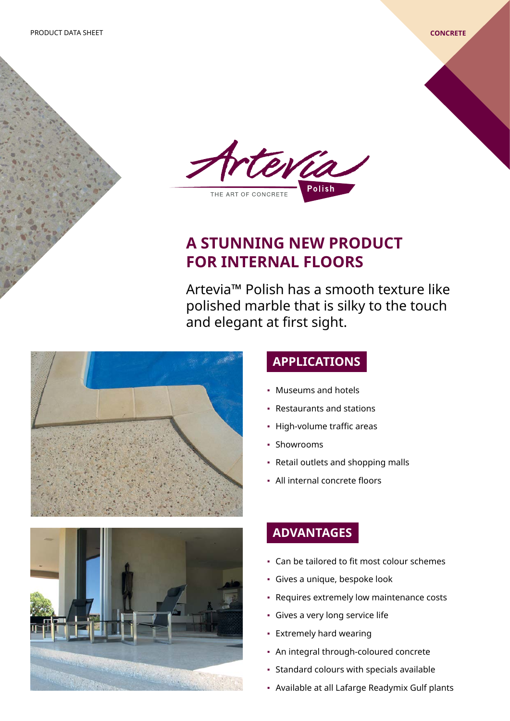

# **A STUNNING NEW PRODUCT FOR INTERNAL FLOORS**

Artevia™ Polish has a smooth texture like polished marble that is silky to the touch and elegant at first sight.





## **APPLICATIONS**

- Museums and hotels
- Restaurants and stations
- High-volume traffic areas
- Showrooms
- Retail outlets and shopping malls
- All internal concrete floors

### **ADVANTAGES**

- Can be tailored to fit most colour schemes
- Gives a unique, bespoke look
- Requires extremely low maintenance costs
- Gives a very long service life
- Extremely hard wearing
- An integral through-coloured concrete
- Standard colours with specials available
- Available at all Lafarge Readymix Gulf plants